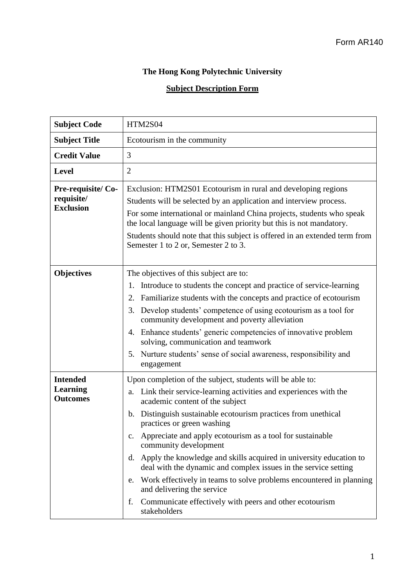## **The Hong Kong Polytechnic University**

## **Subject Description Form**

| <b>Subject Code</b>                                   | <b>HTM2S04</b>                                                                                                                                                                                                                                                                                                                                                                                                                                                                                                                                                                                                                                                                                                     |  |  |  |  |  |
|-------------------------------------------------------|--------------------------------------------------------------------------------------------------------------------------------------------------------------------------------------------------------------------------------------------------------------------------------------------------------------------------------------------------------------------------------------------------------------------------------------------------------------------------------------------------------------------------------------------------------------------------------------------------------------------------------------------------------------------------------------------------------------------|--|--|--|--|--|
| <b>Subject Title</b>                                  | Ecotourism in the community                                                                                                                                                                                                                                                                                                                                                                                                                                                                                                                                                                                                                                                                                        |  |  |  |  |  |
| <b>Credit Value</b>                                   | 3                                                                                                                                                                                                                                                                                                                                                                                                                                                                                                                                                                                                                                                                                                                  |  |  |  |  |  |
| <b>Level</b>                                          | $\overline{2}$                                                                                                                                                                                                                                                                                                                                                                                                                                                                                                                                                                                                                                                                                                     |  |  |  |  |  |
| Pre-requisite/Co-<br>requisite/<br><b>Exclusion</b>   | Exclusion: HTM2S01 Ecotourism in rural and developing regions<br>Students will be selected by an application and interview process.<br>For some international or mainland China projects, students who speak<br>the local language will be given priority but this is not mandatory.<br>Students should note that this subject is offered in an extended term from<br>Semester 1 to 2 or, Semester 2 to 3.                                                                                                                                                                                                                                                                                                         |  |  |  |  |  |
| <b>Objectives</b>                                     | The objectives of this subject are to:<br>Introduce to students the concept and practice of service-learning<br>1.<br>Familiarize students with the concepts and practice of ecotourism<br>2.<br>Develop students' competence of using ecotourism as a tool for<br>3.<br>community development and poverty alleviation<br>4. Enhance students' generic competencies of innovative problem<br>solving, communication and teamwork<br>Nurture students' sense of social awareness, responsibility and<br>5.<br>engagement                                                                                                                                                                                            |  |  |  |  |  |
| <b>Intended</b><br><b>Learning</b><br><b>Outcomes</b> | Upon completion of the subject, students will be able to:<br>Link their service-learning activities and experiences with the<br>a.<br>academic content of the subject<br>Distinguish sustainable ecotourism practices from unethical<br>b.<br>practices or green washing<br>Appreciate and apply ecotourism as a tool for sustainable<br>$c_{\cdot}$<br>community development<br>d. Apply the knowledge and skills acquired in university education to<br>deal with the dynamic and complex issues in the service setting<br>e. Work effectively in teams to solve problems encountered in planning<br>and delivering the service<br>Communicate effectively with peers and other ecotourism<br>f.<br>stakeholders |  |  |  |  |  |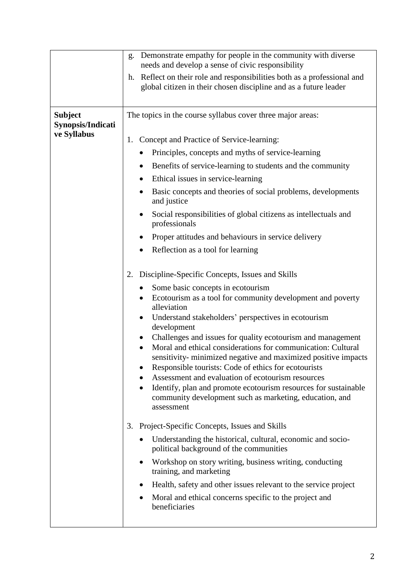|                                                    | Demonstrate empathy for people in the community with diverse<br>g.<br>needs and develop a sense of civic responsibility                                                                                                                                                                                                                                                                                                                                |  |  |  |  |  |  |  |
|----------------------------------------------------|--------------------------------------------------------------------------------------------------------------------------------------------------------------------------------------------------------------------------------------------------------------------------------------------------------------------------------------------------------------------------------------------------------------------------------------------------------|--|--|--|--|--|--|--|
|                                                    | Reflect on their role and responsibilities both as a professional and<br>h.<br>global citizen in their chosen discipline and as a future leader                                                                                                                                                                                                                                                                                                        |  |  |  |  |  |  |  |
| <b>Subject</b><br>Synopsis/Indicati<br>ve Syllabus | The topics in the course syllabus cover three major areas:                                                                                                                                                                                                                                                                                                                                                                                             |  |  |  |  |  |  |  |
|                                                    | Concept and Practice of Service-learning:<br>1.                                                                                                                                                                                                                                                                                                                                                                                                        |  |  |  |  |  |  |  |
|                                                    | Principles, concepts and myths of service-learning                                                                                                                                                                                                                                                                                                                                                                                                     |  |  |  |  |  |  |  |
|                                                    | Benefits of service-learning to students and the community                                                                                                                                                                                                                                                                                                                                                                                             |  |  |  |  |  |  |  |
|                                                    | Ethical issues in service-learning                                                                                                                                                                                                                                                                                                                                                                                                                     |  |  |  |  |  |  |  |
|                                                    | Basic concepts and theories of social problems, developments<br>and justice                                                                                                                                                                                                                                                                                                                                                                            |  |  |  |  |  |  |  |
|                                                    | Social responsibilities of global citizens as intellectuals and<br>professionals                                                                                                                                                                                                                                                                                                                                                                       |  |  |  |  |  |  |  |
|                                                    | Proper attitudes and behaviours in service delivery                                                                                                                                                                                                                                                                                                                                                                                                    |  |  |  |  |  |  |  |
|                                                    | Reflection as a tool for learning                                                                                                                                                                                                                                                                                                                                                                                                                      |  |  |  |  |  |  |  |
|                                                    | 2. Discipline-Specific Concepts, Issues and Skills<br>Some basic concepts in ecotourism<br>Ecotourism as a tool for community development and poverty<br>٠<br>alleviation<br>Understand stakeholders' perspectives in ecotourism<br>٠<br>development                                                                                                                                                                                                   |  |  |  |  |  |  |  |
|                                                    | Challenges and issues for quality ecotourism and management<br>Moral and ethical considerations for communication: Cultural<br>sensitivity- minimized negative and maximized positive impacts<br>Responsible tourists: Code of ethics for ecotourists<br>Assessment and evaluation of ecotourism resources<br>Identify, plan and promote ecotourism resources for sustainable<br>community development such as marketing, education, and<br>assessment |  |  |  |  |  |  |  |
|                                                    | Project-Specific Concepts, Issues and Skills<br>3.                                                                                                                                                                                                                                                                                                                                                                                                     |  |  |  |  |  |  |  |
|                                                    | Understanding the historical, cultural, economic and socio-<br>political background of the communities                                                                                                                                                                                                                                                                                                                                                 |  |  |  |  |  |  |  |
|                                                    | Workshop on story writing, business writing, conducting<br>٠<br>training, and marketing                                                                                                                                                                                                                                                                                                                                                                |  |  |  |  |  |  |  |
|                                                    | Health, safety and other issues relevant to the service project                                                                                                                                                                                                                                                                                                                                                                                        |  |  |  |  |  |  |  |
|                                                    | Moral and ethical concerns specific to the project and<br>beneficiaries                                                                                                                                                                                                                                                                                                                                                                                |  |  |  |  |  |  |  |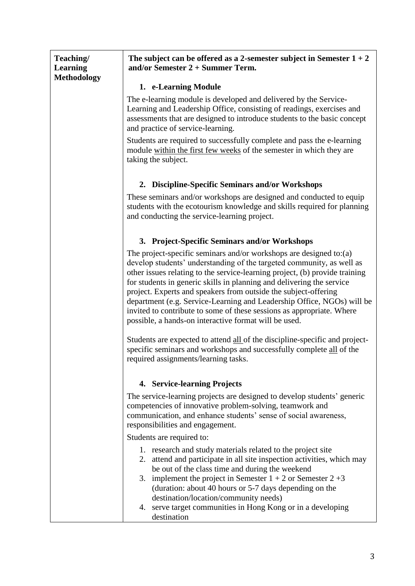| <b>Methodology</b> | 1. e-Learning Module<br>The e-learning module is developed and delivered by the Service-<br>Learning and Leadership Office, consisting of readings, exercises and<br>assessments that are designed to introduce students to the basic concept                                                                                                                                                                                                                                                                                                                                      |  |  |  |  |  |  |  |
|--------------------|------------------------------------------------------------------------------------------------------------------------------------------------------------------------------------------------------------------------------------------------------------------------------------------------------------------------------------------------------------------------------------------------------------------------------------------------------------------------------------------------------------------------------------------------------------------------------------|--|--|--|--|--|--|--|
|                    |                                                                                                                                                                                                                                                                                                                                                                                                                                                                                                                                                                                    |  |  |  |  |  |  |  |
|                    | and practice of service-learning.                                                                                                                                                                                                                                                                                                                                                                                                                                                                                                                                                  |  |  |  |  |  |  |  |
|                    | Students are required to successfully complete and pass the e-learning<br>module within the first few weeks of the semester in which they are<br>taking the subject.                                                                                                                                                                                                                                                                                                                                                                                                               |  |  |  |  |  |  |  |
|                    | 2. Discipline-Specific Seminars and/or Workshops                                                                                                                                                                                                                                                                                                                                                                                                                                                                                                                                   |  |  |  |  |  |  |  |
|                    | These seminars and/or workshops are designed and conducted to equip<br>students with the ecotourism knowledge and skills required for planning<br>and conducting the service-learning project.                                                                                                                                                                                                                                                                                                                                                                                     |  |  |  |  |  |  |  |
|                    | 3. Project-Specific Seminars and/or Workshops                                                                                                                                                                                                                                                                                                                                                                                                                                                                                                                                      |  |  |  |  |  |  |  |
|                    | The project-specific seminars and/or workshops are designed to:(a)<br>develop students' understanding of the targeted community, as well as<br>other issues relating to the service-learning project, (b) provide training<br>for students in generic skills in planning and delivering the service<br>project. Experts and speakers from outside the subject-offering<br>department (e.g. Service-Learning and Leadership Office, NGOs) will be<br>invited to contribute to some of these sessions as appropriate. Where<br>possible, a hands-on interactive format will be used. |  |  |  |  |  |  |  |
|                    | Students are expected to attend all of the discipline-specific and project-<br>specific seminars and workshops and successfully complete all of the<br>required assignments/learning tasks.                                                                                                                                                                                                                                                                                                                                                                                        |  |  |  |  |  |  |  |
|                    | 4. Service-learning Projects                                                                                                                                                                                                                                                                                                                                                                                                                                                                                                                                                       |  |  |  |  |  |  |  |
|                    | The service-learning projects are designed to develop students' generic<br>competencies of innovative problem-solving, teamwork and<br>communication, and enhance students' sense of social awareness,<br>responsibilities and engagement.                                                                                                                                                                                                                                                                                                                                         |  |  |  |  |  |  |  |
|                    | Students are required to:                                                                                                                                                                                                                                                                                                                                                                                                                                                                                                                                                          |  |  |  |  |  |  |  |
|                    | 1. research and study materials related to the project site<br>2. attend and participate in all site inspection activities, which may<br>be out of the class time and during the weekend<br>3. implement the project in Semester $1 + 2$ or Semester $2 + 3$<br>(duration: about 40 hours or 5-7 days depending on the<br>destination/location/community needs)<br>4. serve target communities in Hong Kong or in a developing<br>destination                                                                                                                                      |  |  |  |  |  |  |  |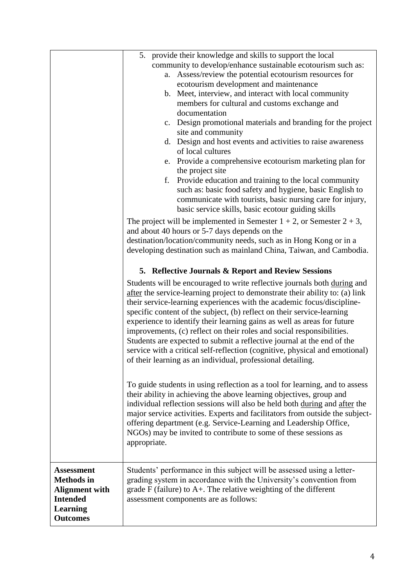|                                        | 5. provide their knowledge and skills to support the local                                                                                                                                                                                                                                                       |  |  |  |  |  |  |  |
|----------------------------------------|------------------------------------------------------------------------------------------------------------------------------------------------------------------------------------------------------------------------------------------------------------------------------------------------------------------|--|--|--|--|--|--|--|
|                                        | community to develop/enhance sustainable ecotourism such as:                                                                                                                                                                                                                                                     |  |  |  |  |  |  |  |
|                                        | Assess/review the potential ecotourism resources for<br>a.                                                                                                                                                                                                                                                       |  |  |  |  |  |  |  |
|                                        | ecotourism development and maintenance                                                                                                                                                                                                                                                                           |  |  |  |  |  |  |  |
|                                        | b. Meet, interview, and interact with local community                                                                                                                                                                                                                                                            |  |  |  |  |  |  |  |
|                                        | members for cultural and customs exchange and                                                                                                                                                                                                                                                                    |  |  |  |  |  |  |  |
|                                        | documentation                                                                                                                                                                                                                                                                                                    |  |  |  |  |  |  |  |
|                                        | c. Design promotional materials and branding for the project                                                                                                                                                                                                                                                     |  |  |  |  |  |  |  |
|                                        | site and community                                                                                                                                                                                                                                                                                               |  |  |  |  |  |  |  |
|                                        | d. Design and host events and activities to raise awareness                                                                                                                                                                                                                                                      |  |  |  |  |  |  |  |
|                                        | of local cultures                                                                                                                                                                                                                                                                                                |  |  |  |  |  |  |  |
|                                        | e. Provide a comprehensive ecotourism marketing plan for<br>the project site                                                                                                                                                                                                                                     |  |  |  |  |  |  |  |
|                                        | Provide education and training to the local community<br>f.                                                                                                                                                                                                                                                      |  |  |  |  |  |  |  |
|                                        | such as: basic food safety and hygiene, basic English to                                                                                                                                                                                                                                                         |  |  |  |  |  |  |  |
|                                        | communicate with tourists, basic nursing care for injury,                                                                                                                                                                                                                                                        |  |  |  |  |  |  |  |
|                                        | basic service skills, basic ecotour guiding skills                                                                                                                                                                                                                                                               |  |  |  |  |  |  |  |
|                                        | The project will be implemented in Semester $1 + 2$ , or Semester $2 + 3$ ,                                                                                                                                                                                                                                      |  |  |  |  |  |  |  |
|                                        | and about 40 hours or 5-7 days depends on the                                                                                                                                                                                                                                                                    |  |  |  |  |  |  |  |
|                                        | destination/location/community needs, such as in Hong Kong or in a                                                                                                                                                                                                                                               |  |  |  |  |  |  |  |
|                                        | developing destination such as mainland China, Taiwan, and Cambodia.                                                                                                                                                                                                                                             |  |  |  |  |  |  |  |
|                                        |                                                                                                                                                                                                                                                                                                                  |  |  |  |  |  |  |  |
|                                        | 5. Reflective Journals & Report and Review Sessions                                                                                                                                                                                                                                                              |  |  |  |  |  |  |  |
|                                        | Students will be encouraged to write reflective journals both during and                                                                                                                                                                                                                                         |  |  |  |  |  |  |  |
|                                        | after the service-learning project to demonstrate their ability to: (a) link                                                                                                                                                                                                                                     |  |  |  |  |  |  |  |
|                                        | their service-learning experiences with the academic focus/discipline-                                                                                                                                                                                                                                           |  |  |  |  |  |  |  |
|                                        | specific content of the subject, (b) reflect on their service-learning                                                                                                                                                                                                                                           |  |  |  |  |  |  |  |
|                                        | experience to identify their learning gains as well as areas for future                                                                                                                                                                                                                                          |  |  |  |  |  |  |  |
|                                        | improvements, (c) reflect on their roles and social responsibilities.                                                                                                                                                                                                                                            |  |  |  |  |  |  |  |
|                                        | Students are expected to submit a reflective journal at the end of the<br>service with a critical self-reflection (cognitive, physical and emotional)                                                                                                                                                            |  |  |  |  |  |  |  |
|                                        | of their learning as an individual, professional detailing                                                                                                                                                                                                                                                       |  |  |  |  |  |  |  |
|                                        |                                                                                                                                                                                                                                                                                                                  |  |  |  |  |  |  |  |
|                                        |                                                                                                                                                                                                                                                                                                                  |  |  |  |  |  |  |  |
|                                        | To guide students in using reflection as a tool for learning, and to assess<br>their ability in achieving the above learning objectives, group and<br>individual reflection sessions will also be held both during and after the<br>major service activities. Experts and facilitators from outside the subject- |  |  |  |  |  |  |  |
|                                        |                                                                                                                                                                                                                                                                                                                  |  |  |  |  |  |  |  |
|                                        |                                                                                                                                                                                                                                                                                                                  |  |  |  |  |  |  |  |
|                                        | offering department (e.g. Service-Learning and Leadership Office,                                                                                                                                                                                                                                                |  |  |  |  |  |  |  |
|                                        | NGOs) may be invited to contribute to some of these sessions as                                                                                                                                                                                                                                                  |  |  |  |  |  |  |  |
|                                        | appropriate.                                                                                                                                                                                                                                                                                                     |  |  |  |  |  |  |  |
|                                        |                                                                                                                                                                                                                                                                                                                  |  |  |  |  |  |  |  |
|                                        |                                                                                                                                                                                                                                                                                                                  |  |  |  |  |  |  |  |
| <b>Assessment</b><br><b>Methods</b> in | Students' performance in this subject will be assessed using a letter-<br>grading system in accordance with the University's convention from                                                                                                                                                                     |  |  |  |  |  |  |  |
| <b>Alignment with</b>                  | grade $F$ (failure) to $A+$ . The relative weighting of the different                                                                                                                                                                                                                                            |  |  |  |  |  |  |  |
| <b>Intended</b>                        | assessment components are as follows:                                                                                                                                                                                                                                                                            |  |  |  |  |  |  |  |
| <b>Learning</b>                        |                                                                                                                                                                                                                                                                                                                  |  |  |  |  |  |  |  |
| <b>Outcomes</b>                        |                                                                                                                                                                                                                                                                                                                  |  |  |  |  |  |  |  |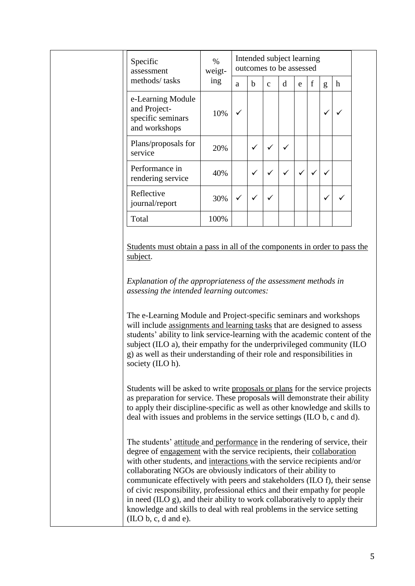|  | Specific<br>assessment<br>methods/tasks                                 | $\%$<br>weigt-<br>ing | Intended subject learning<br>outcomes to be assessed |   |              |   |   |             |   |             |
|--|-------------------------------------------------------------------------|-----------------------|------------------------------------------------------|---|--------------|---|---|-------------|---|-------------|
|  |                                                                         |                       | a                                                    | b | $\mathbf{C}$ | d | e | $\mathbf f$ | g | $\mathbf h$ |
|  | e-Learning Module<br>and Project-<br>specific seminars<br>and workshops | 10%                   | ✓                                                    |   |              |   |   |             | ✓ |             |
|  | Plans/proposals for<br>service                                          | 20%                   |                                                      | ✓ | $\checkmark$ | ✓ |   |             |   |             |
|  | Performance in<br>rendering service                                     | 40%                   |                                                      | ✓ | $\checkmark$ | ✓ |   |             | ✓ |             |
|  | Reflective<br>journal/report                                            | 30%                   | ✓                                                    | ✓ | ✓            |   |   |             | √ |             |
|  | Total                                                                   | 100%                  |                                                      |   |              |   |   |             |   |             |

Students must obtain a pass in all of the components in order to pass the subject.

*Explanation of the appropriateness of the assessment methods in assessing the intended learning outcomes:*

The e-Learning Module and Project-specific seminars and workshops will include assignments and learning tasks that are designed to assess students' ability to link service-learning with the academic content of the subject (ILO a), their empathy for the underprivileged community (ILO g) as well as their understanding of their role and responsibilities in society (ILO h).

Students will be asked to write proposals or plans for the service projects as preparation for service. These proposals will demonstrate their ability to apply their discipline-specific as well as other knowledge and skills to deal with issues and problems in the service settings (ILO b, c and d).

The students' attitude and performance in the rendering of service, their degree of engagement with the service recipients, their collaboration with other students, and interactions with the service recipients and/or collaborating NGOs are obviously indicators of their ability to communicate effectively with peers and stakeholders (ILO f), their sense of civic responsibility, professional ethics and their empathy for people in need (ILO g), and their ability to work collaboratively to apply their knowledge and skills to deal with real problems in the service setting (ILO b, c, d and e).